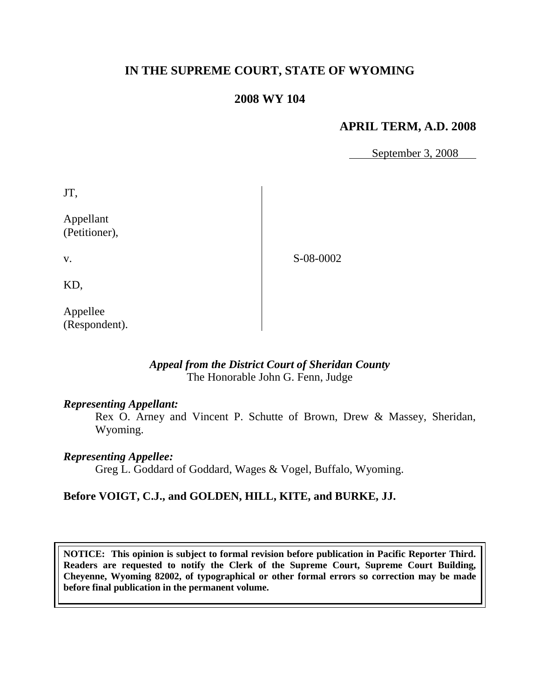# **IN THE SUPREME COURT, STATE OF WYOMING**

## **2008 WY 104**

## **APRIL TERM, A.D. 2008**

September 3, 2008

JT, Appellant (Petitioner),

S-08-0002

KD,

v.

Appellee (Respondent).

#### *Appeal from the District Court of Sheridan County* The Honorable John G. Fenn, Judge

#### *Representing Appellant:*

Rex O. Arney and Vincent P. Schutte of Brown, Drew & Massey, Sheridan, Wyoming.

## *Representing Appellee:*

Greg L. Goddard of Goddard, Wages & Vogel, Buffalo, Wyoming.

# **Before VOIGT, C.J., and GOLDEN, HILL, KITE, and BURKE, JJ.**

**NOTICE: This opinion is subject to formal revision before publication in Pacific Reporter Third. Readers are requested to notify the Clerk of the Supreme Court, Supreme Court Building, Cheyenne, Wyoming 82002, of typographical or other formal errors so correction may be made before final publication in the permanent volume.**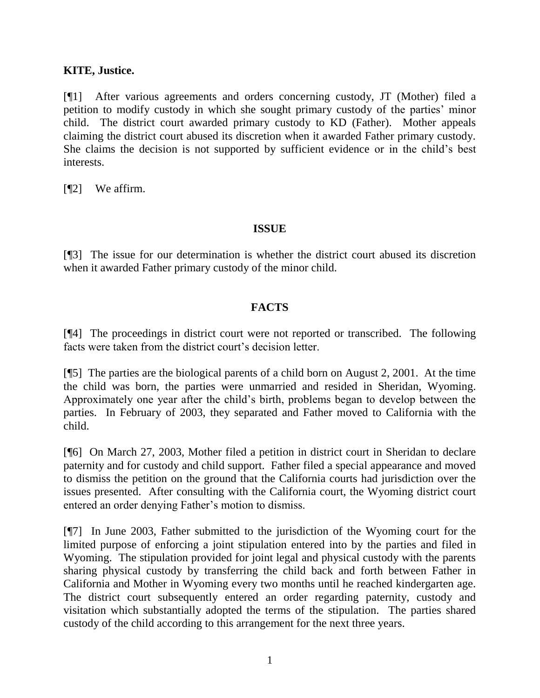## **KITE, Justice.**

[¶1] After various agreements and orders concerning custody, JT (Mother) filed a petition to modify custody in which she sought primary custody of the parties' minor child. The district court awarded primary custody to KD (Father). Mother appeals claiming the district court abused its discretion when it awarded Father primary custody. She claims the decision is not supported by sufficient evidence or in the child's best interests.

[¶2] We affirm.

#### **ISSUE**

[¶3] The issue for our determination is whether the district court abused its discretion when it awarded Father primary custody of the minor child.

## **FACTS**

[¶4] The proceedings in district court were not reported or transcribed. The following facts were taken from the district court's decision letter.

[¶5] The parties are the biological parents of a child born on August 2, 2001. At the time the child was born, the parties were unmarried and resided in Sheridan, Wyoming. Approximately one year after the child's birth, problems began to develop between the parties. In February of 2003, they separated and Father moved to California with the child.

[¶6] On March 27, 2003, Mother filed a petition in district court in Sheridan to declare paternity and for custody and child support. Father filed a special appearance and moved to dismiss the petition on the ground that the California courts had jurisdiction over the issues presented. After consulting with the California court, the Wyoming district court entered an order denying Father's motion to dismiss.

[¶7] In June 2003, Father submitted to the jurisdiction of the Wyoming court for the limited purpose of enforcing a joint stipulation entered into by the parties and filed in Wyoming. The stipulation provided for joint legal and physical custody with the parents sharing physical custody by transferring the child back and forth between Father in California and Mother in Wyoming every two months until he reached kindergarten age. The district court subsequently entered an order regarding paternity, custody and visitation which substantially adopted the terms of the stipulation. The parties shared custody of the child according to this arrangement for the next three years.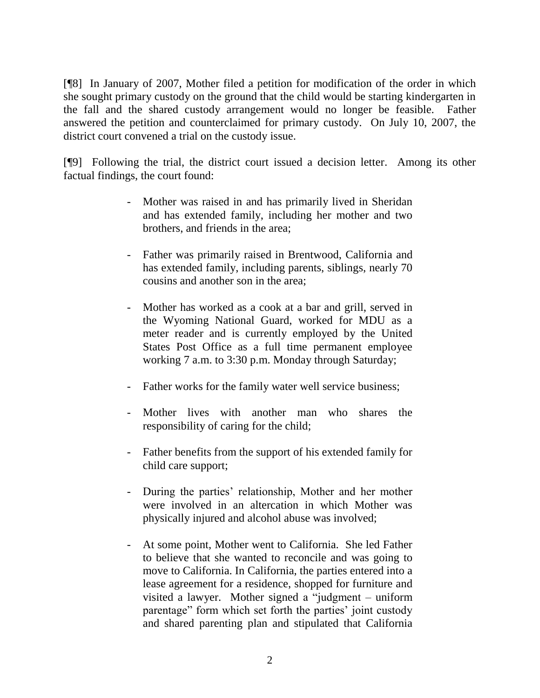[¶8] In January of 2007, Mother filed a petition for modification of the order in which she sought primary custody on the ground that the child would be starting kindergarten in the fall and the shared custody arrangement would no longer be feasible. Father answered the petition and counterclaimed for primary custody. On July 10, 2007, the district court convened a trial on the custody issue.

[¶9] Following the trial, the district court issued a decision letter. Among its other factual findings, the court found:

- Mother was raised in and has primarily lived in Sheridan and has extended family, including her mother and two brothers, and friends in the area;
- Father was primarily raised in Brentwood, California and has extended family, including parents, siblings, nearly 70 cousins and another son in the area;
- Mother has worked as a cook at a bar and grill, served in the Wyoming National Guard, worked for MDU as a meter reader and is currently employed by the United States Post Office as a full time permanent employee working 7 a.m. to 3:30 p.m. Monday through Saturday;
- Father works for the family water well service business;
- Mother lives with another man who shares the responsibility of caring for the child;
- Father benefits from the support of his extended family for child care support;
- During the parties' relationship, Mother and her mother were involved in an altercation in which Mother was physically injured and alcohol abuse was involved;
- At some point, Mother went to California. She led Father to believe that she wanted to reconcile and was going to move to California. In California, the parties entered into a lease agreement for a residence, shopped for furniture and visited a lawyer. Mother signed a "judgment – uniform parentage" form which set forth the parties' joint custody and shared parenting plan and stipulated that California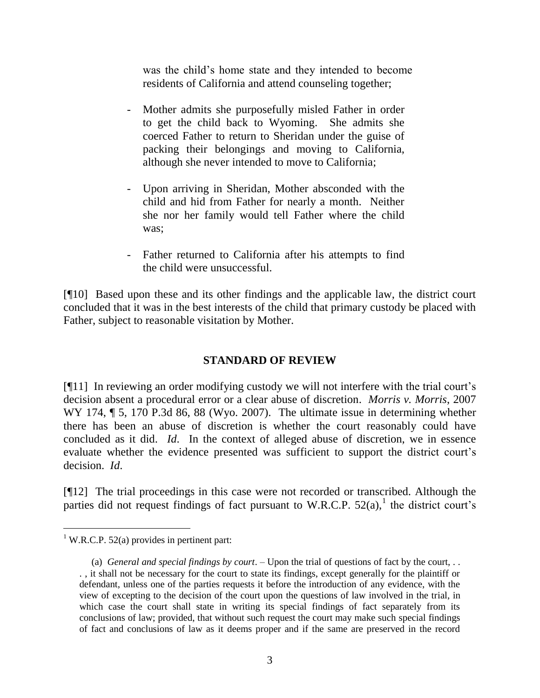was the child's home state and they intended to become residents of California and attend counseling together;

- Mother admits she purposefully misled Father in order to get the child back to Wyoming. She admits she coerced Father to return to Sheridan under the guise of packing their belongings and moving to California, although she never intended to move to California;
- Upon arriving in Sheridan, Mother absconded with the child and hid from Father for nearly a month. Neither she nor her family would tell Father where the child was;
- Father returned to California after his attempts to find the child were unsuccessful.

[¶10] Based upon these and its other findings and the applicable law, the district court concluded that it was in the best interests of the child that primary custody be placed with Father, subject to reasonable visitation by Mother.

## **STANDARD OF REVIEW**

[¶11] In reviewing an order modifying custody we will not interfere with the trial court's decision absent a procedural error or a clear abuse of discretion. *Morris v. Morris*, 2007 WY 174,  $\sim$  5, 170 P.3d 86, 88 (Wyo. 2007). The ultimate issue in determining whether there has been an abuse of discretion is whether the court reasonably could have concluded as it did. *Id*. In the context of alleged abuse of discretion, we in essence evaluate whether the evidence presented was sufficient to support the district court's decision. *Id*.

[¶12] The trial proceedings in this case were not recorded or transcribed. Although the parties did not request findings of fact pursuant to W.R.C.P.  $52(a)$ ,<sup>1</sup> the district court's

 $\overline{a}$ 

<sup>&</sup>lt;sup>1</sup> W.R.C.P. 52(a) provides in pertinent part:

 <sup>(</sup>a) *General and special findings by court*. – Upon the trial of questions of fact by the court, . . . , it shall not be necessary for the court to state its findings, except generally for the plaintiff or defendant, unless one of the parties requests it before the introduction of any evidence, with the view of excepting to the decision of the court upon the questions of law involved in the trial, in which case the court shall state in writing its special findings of fact separately from its conclusions of law; provided, that without such request the court may make such special findings of fact and conclusions of law as it deems proper and if the same are preserved in the record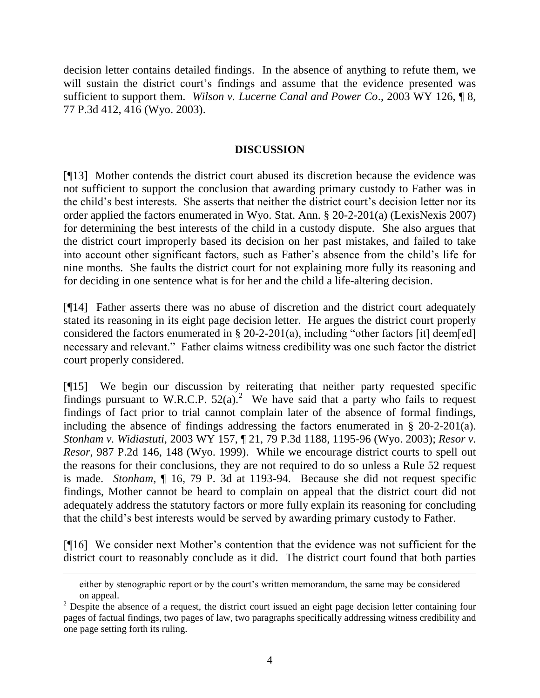decision letter contains detailed findings. In the absence of anything to refute them, we will sustain the district court's findings and assume that the evidence presented was sufficient to support them. *Wilson v. Lucerne Canal and Power Co*., 2003 WY 126, ¶ 8, 77 P.3d 412, 416 (Wyo. 2003).

### **DISCUSSION**

[¶13] Mother contends the district court abused its discretion because the evidence was not sufficient to support the conclusion that awarding primary custody to Father was in the child's best interests. She asserts that neither the district court's decision letter nor its order applied the factors enumerated in Wyo. Stat. Ann. § 20-2-201(a) (LexisNexis 2007) for determining the best interests of the child in a custody dispute. She also argues that the district court improperly based its decision on her past mistakes, and failed to take into account other significant factors, such as Father's absence from the child's life for nine months. She faults the district court for not explaining more fully its reasoning and for deciding in one sentence what is for her and the child a life-altering decision.

[¶14] Father asserts there was no abuse of discretion and the district court adequately stated its reasoning in its eight page decision letter. He argues the district court properly considered the factors enumerated in  $\S 20$ -2-201(a), including "other factors [it] deem[ed] necessary and relevant." Father claims witness credibility was one such factor the district court properly considered.

[¶15] We begin our discussion by reiterating that neither party requested specific findings pursuant to W.R.C.P.  $52(a)$ .<sup>2</sup> We have said that a party who fails to request findings of fact prior to trial cannot complain later of the absence of formal findings, including the absence of findings addressing the factors enumerated in § 20-2-201(a). *Stonham v. Widiastuti*, 2003 WY 157, ¶ 21, 79 P.3d 1188, 1195-96 (Wyo. 2003); *Resor v. Resor*, 987 P.2d 146, 148 (Wyo. 1999). While we encourage district courts to spell out the reasons for their conclusions, they are not required to do so unless a Rule 52 request is made. *Stonham*, ¶ 16, 79 P. 3d at 1193-94. Because she did not request specific findings, Mother cannot be heard to complain on appeal that the district court did not adequately address the statutory factors or more fully explain its reasoning for concluding that the child's best interests would be served by awarding primary custody to Father.

[¶16] We consider next Mother's contention that the evidence was not sufficient for the district court to reasonably conclude as it did. The district court found that both parties

 $\overline{a}$ 

either by stenographic report or by the court's written memorandum, the same may be considered on appeal.

 $2$  Despite the absence of a request, the district court issued an eight page decision letter containing four pages of factual findings, two pages of law, two paragraphs specifically addressing witness credibility and one page setting forth its ruling.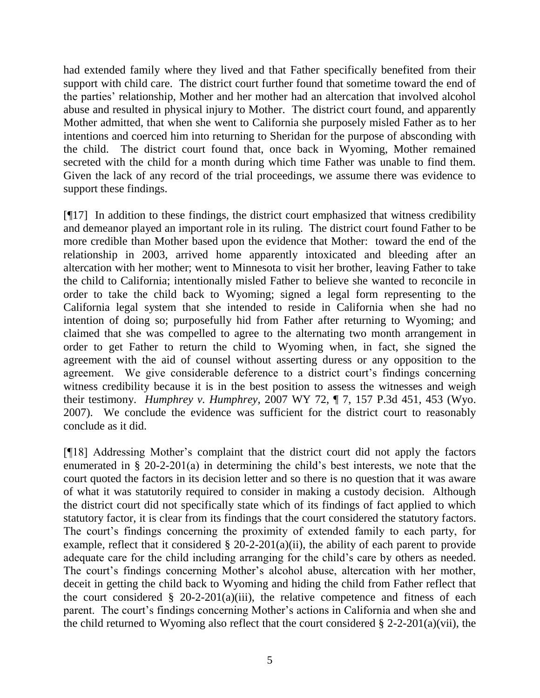had extended family where they lived and that Father specifically benefited from their support with child care. The district court further found that sometime toward the end of the parties' relationship, Mother and her mother had an altercation that involved alcohol abuse and resulted in physical injury to Mother. The district court found, and apparently Mother admitted, that when she went to California she purposely misled Father as to her intentions and coerced him into returning to Sheridan for the purpose of absconding with the child. The district court found that, once back in Wyoming, Mother remained secreted with the child for a month during which time Father was unable to find them. Given the lack of any record of the trial proceedings, we assume there was evidence to support these findings.

[¶17] In addition to these findings, the district court emphasized that witness credibility and demeanor played an important role in its ruling. The district court found Father to be more credible than Mother based upon the evidence that Mother: toward the end of the relationship in 2003, arrived home apparently intoxicated and bleeding after an altercation with her mother; went to Minnesota to visit her brother, leaving Father to take the child to California; intentionally misled Father to believe she wanted to reconcile in order to take the child back to Wyoming; signed a legal form representing to the California legal system that she intended to reside in California when she had no intention of doing so; purposefully hid from Father after returning to Wyoming; and claimed that she was compelled to agree to the alternating two month arrangement in order to get Father to return the child to Wyoming when, in fact, she signed the agreement with the aid of counsel without asserting duress or any opposition to the agreement. We give considerable deference to a district court's findings concerning witness credibility because it is in the best position to assess the witnesses and weigh their testimony. *Humphrey v. Humphrey*, 2007 WY 72, ¶ 7, 157 P.3d 451, 453 (Wyo. 2007). We conclude the evidence was sufficient for the district court to reasonably conclude as it did.

[¶18] Addressing Mother's complaint that the district court did not apply the factors enumerated in § 20-2-201(a) in determining the child's best interests, we note that the court quoted the factors in its decision letter and so there is no question that it was aware of what it was statutorily required to consider in making a custody decision. Although the district court did not specifically state which of its findings of fact applied to which statutory factor, it is clear from its findings that the court considered the statutory factors. The court's findings concerning the proximity of extended family to each party, for example, reflect that it considered  $\S 20$ -2-201(a)(ii), the ability of each parent to provide adequate care for the child including arranging for the child's care by others as needed. The court's findings concerning Mother's alcohol abuse, altercation with her mother, deceit in getting the child back to Wyoming and hiding the child from Father reflect that the court considered  $\S$  20-2-201(a)(iii), the relative competence and fitness of each parent. The court's findings concerning Mother's actions in California and when she and the child returned to Wyoming also reflect that the court considered  $\S 2$ -2-201(a)(vii), the